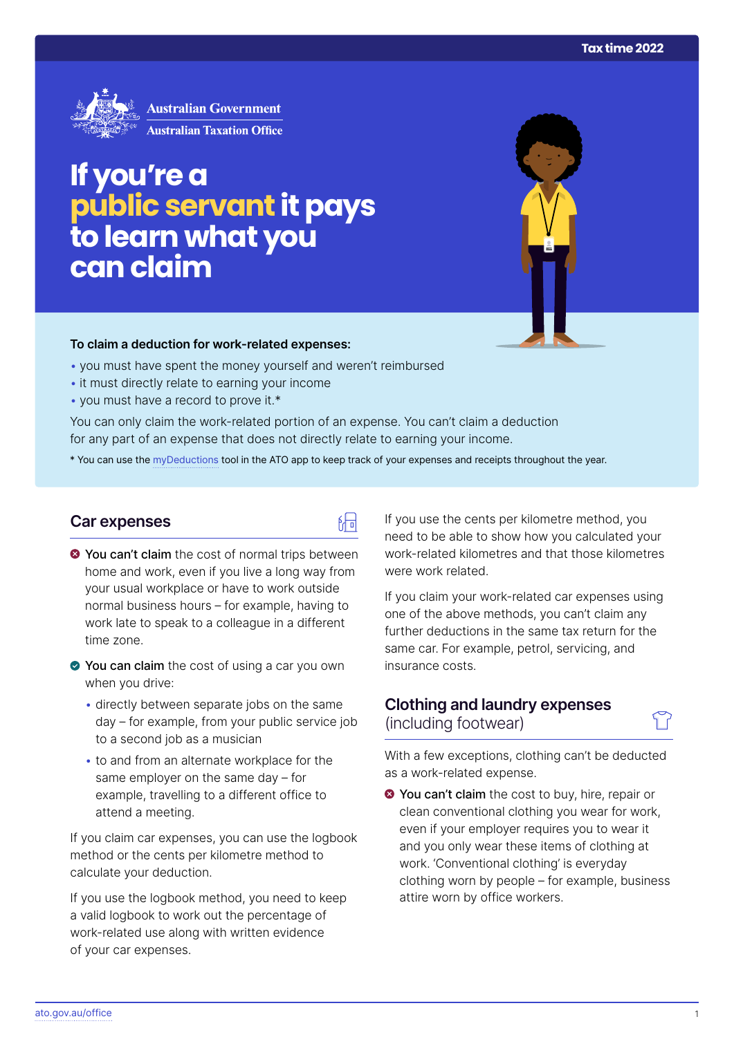

# **If you're a public servant it pays to learn what you canclaim**

#### **To claim a deduction for work‑related expenses:**

- you must have spent the money yourself and weren't reimbursed
- it must directly relate to earning your income
- you must have a record to prove it.\*

You can only claim the work-related portion of an expense. You can't claim a deduction for any part of an expense that does not directly relate to earning your income.

\* You can use the [myDeductions](https://ato.gov.au/mydeductions) tool in the ATO app to keep track of your expenses and receipts throughout the year.

品

## **Car expenses**

- $\bullet$  You can't claim the cost of normal trips between home and work, even if you live a long way from your usual workplace or have to work outside normal business hours – for example, having to work late to speak to a colleague in a different time zone.
- ◆ You can claim the cost of using a car you own when you drive:
	- directly between separate jobs on the same day – for example, from your public service job to a second job as a musician
	- to and from an alternate workplace for the same employer on the same day – for example, travelling to a different office to attend a meeting.

If you claim car expenses, you can use the logbook method or the cents per kilometre method to calculate your deduction.

If you use the logbook method, you need to keep a valid logbook to work out the percentage of work-related use along with written evidence of your car expenses.

If you use the cents per kilometre method, you need to be able to show how you calculated your work-related kilometres and that those kilometres were work related.

If you claim your work-related car expenses using one of the above methods, you can't claim any further deductions in the same tax return for the same car. For example, petrol, servicing, and insurance costs.

## **Clothing and laundry expenses**  (including footwear)

With a few exceptions, clothing can't be deducted as a work-related expense.

**◆ You can't claim** the cost to buy, hire, repair or clean conventional clothing you wear for work, even if your employer requires you to wear it and you only wear these items of clothing at work. 'Conventional clothing' is everyday clothing worn by people – for example, business attire worn by office workers.